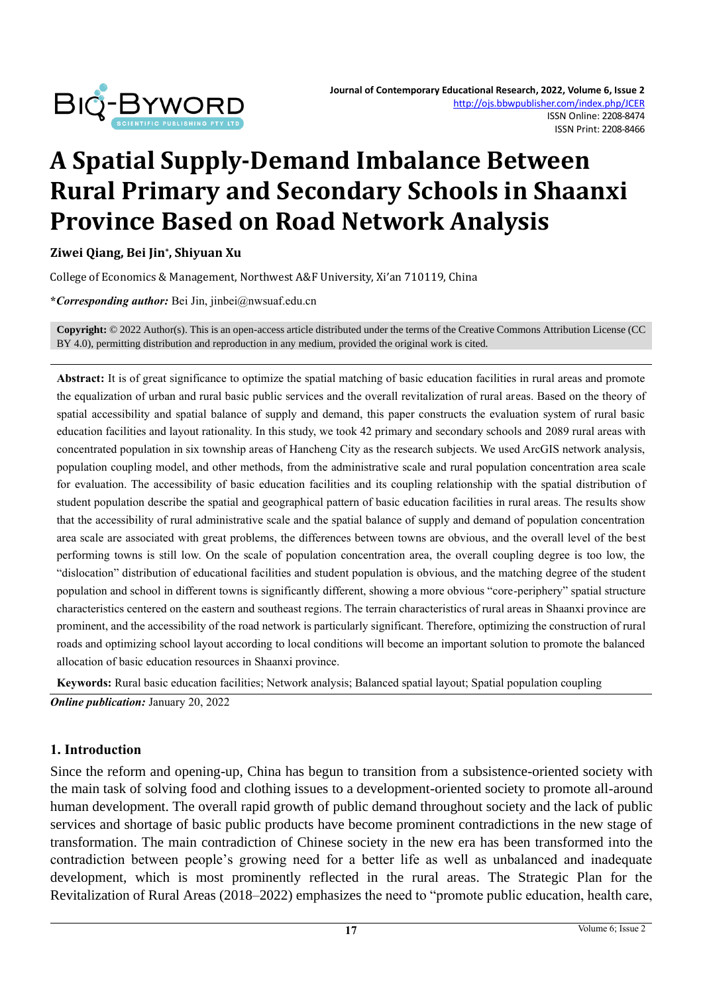

# **A Spatial Supply-Demand Imbalance Between Rural Primary and Secondary Schools in Shaanxi Province Based on Road Network Analysis**

**Ziwei Qiang, Bei Jin\* , Shiyuan Xu**

College of Economics & Management, Northwest A&F University, Xi'an 710119, China

**\****Corresponding author:* Bei Jin, jinbei@nwsuaf.edu.cn

**Copyright:** © 2022 Author(s). This is an open-access article distributed under the terms of th[e Creative Commons Attribution License \(CC](https://creativecommons.org/licenses/by/4.0/)  [BY 4.0\),](https://creativecommons.org/licenses/by/4.0/) permitting distribution and reproduction in any medium, provided the original work is cited.

**Abstract:** It is of great significance to optimize the spatial matching of basic education facilities in rural areas and promote the equalization of urban and rural basic public services and the overall revitalization of rural areas. Based on the theory of spatial accessibility and spatial balance of supply and demand, this paper constructs the evaluation system of rural basic education facilities and layout rationality. In this study, we took 42 primary and secondary schools and 2089 rural areas with concentrated population in six township areas of Hancheng City as the research subjects. We used ArcGIS network analysis, population coupling model, and other methods, from the administrative scale and rural population concentration area scale for evaluation. The accessibility of basic education facilities and its coupling relationship with the spatial distribution of student population describe the spatial and geographical pattern of basic education facilities in rural areas. The results show that the accessibility of rural administrative scale and the spatial balance of supply and demand of population concentration area scale are associated with great problems, the differences between towns are obvious, and the overall level of the best performing towns is still low. On the scale of population concentration area, the overall coupling degree is too low, the "dislocation" distribution of educational facilities and student population is obvious, and the matching degree of the student population and school in different towns is significantly different, showing a more obvious "core-periphery" spatial structure characteristics centered on the eastern and southeast regions. The terrain characteristics of rural areas in Shaanxi province are prominent, and the accessibility of the road network is particularly significant. Therefore, optimizing the construction of rural roads and optimizing school layout according to local conditions will become an important solution to promote the balanced allocation of basic education resources in Shaanxi province.

**Keywords:** Rural basic education facilities; Network analysis; Balanced spatial layout; Spatial population coupling *Online publication:* January 20, 2022

#### **1. Introduction**

Since the reform and opening-up, China has begun to transition from a subsistence-oriented society with the main task of solving food and clothing issues to a development-oriented society to promote all-around human development. The overall rapid growth of public demand throughout society and the lack of public services and shortage of basic public products have become prominent contradictions in the new stage of transformation. The main contradiction of Chinese society in the new era has been transformed into the contradiction between people's growing need for a better life as well as unbalanced and inadequate development, which is most prominently reflected in the rural areas. The Strategic Plan for the Revitalization of Rural Areas (2018–2022) emphasizes the need to "promote public education, health care,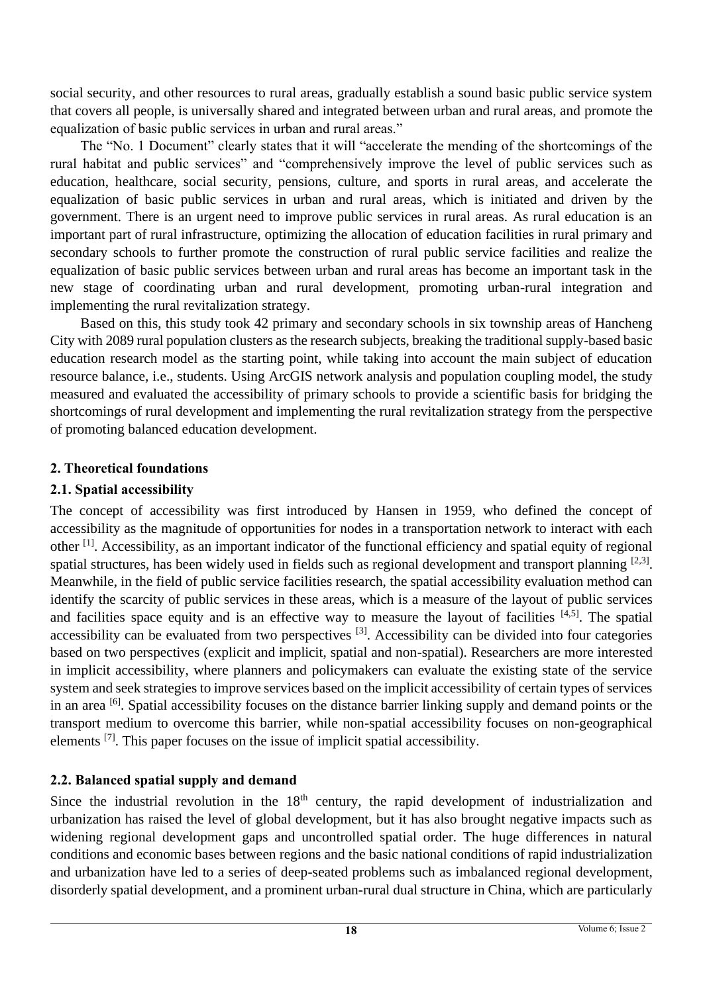social security, and other resources to rural areas, gradually establish a sound basic public service system that covers all people, is universally shared and integrated between urban and rural areas, and promote the equalization of basic public services in urban and rural areas."

The "No. 1 Document" clearly states that it will "accelerate the mending of the shortcomings of the rural habitat and public services" and "comprehensively improve the level of public services such as education, healthcare, social security, pensions, culture, and sports in rural areas, and accelerate the equalization of basic public services in urban and rural areas, which is initiated and driven by the government. There is an urgent need to improve public services in rural areas. As rural education is an important part of rural infrastructure, optimizing the allocation of education facilities in rural primary and secondary schools to further promote the construction of rural public service facilities and realize the equalization of basic public services between urban and rural areas has become an important task in the new stage of coordinating urban and rural development, promoting urban-rural integration and implementing the rural revitalization strategy.

Based on this, this study took 42 primary and secondary schools in six township areas of Hancheng City with 2089 rural population clusters as the research subjects, breaking the traditional supply-based basic education research model as the starting point, while taking into account the main subject of education resource balance, i.e., students. Using ArcGIS network analysis and population coupling model, the study measured and evaluated the accessibility of primary schools to provide a scientific basis for bridging the shortcomings of rural development and implementing the rural revitalization strategy from the perspective of promoting balanced education development.

#### **2. Theoretical foundations**

#### **2.1. Spatial accessibility**

The concept of accessibility was first introduced by Hansen in 1959, who defined the concept of accessibility as the magnitude of opportunities for nodes in a transportation network to interact with each other [1]. Accessibility, as an important indicator of the functional efficiency and spatial equity of regional spatial structures, has been widely used in fields such as regional development and transport planning  $[2,3]$ . Meanwhile, in the field of public service facilities research, the spatial accessibility evaluation method can identify the scarcity of public services in these areas, which is a measure of the layout of public services and facilities space equity and is an effective way to measure the layout of facilities  $[4,5]$ . The spatial accessibility can be evaluated from two perspectives  $[3]$ . Accessibility can be divided into four categories based on two perspectives (explicit and implicit, spatial and non-spatial). Researchers are more interested in implicit accessibility, where planners and policymakers can evaluate the existing state of the service system and seek strategies to improve services based on the implicit accessibility of certain types of services in an area [6]. Spatial accessibility focuses on the distance barrier linking supply and demand points or the transport medium to overcome this barrier, while non-spatial accessibility focuses on non-geographical elements [7]. This paper focuses on the issue of implicit spatial accessibility.

# **2.2. Balanced spatial supply and demand**

Since the industrial revolution in the  $18<sup>th</sup>$  century, the rapid development of industrialization and urbanization has raised the level of global development, but it has also brought negative impacts such as widening regional development gaps and uncontrolled spatial order. The huge differences in natural conditions and economic bases between regions and the basic national conditions of rapid industrialization and urbanization have led to a series of deep-seated problems such as imbalanced regional development, disorderly spatial development, and a prominent urban-rural dual structure in China, which are particularly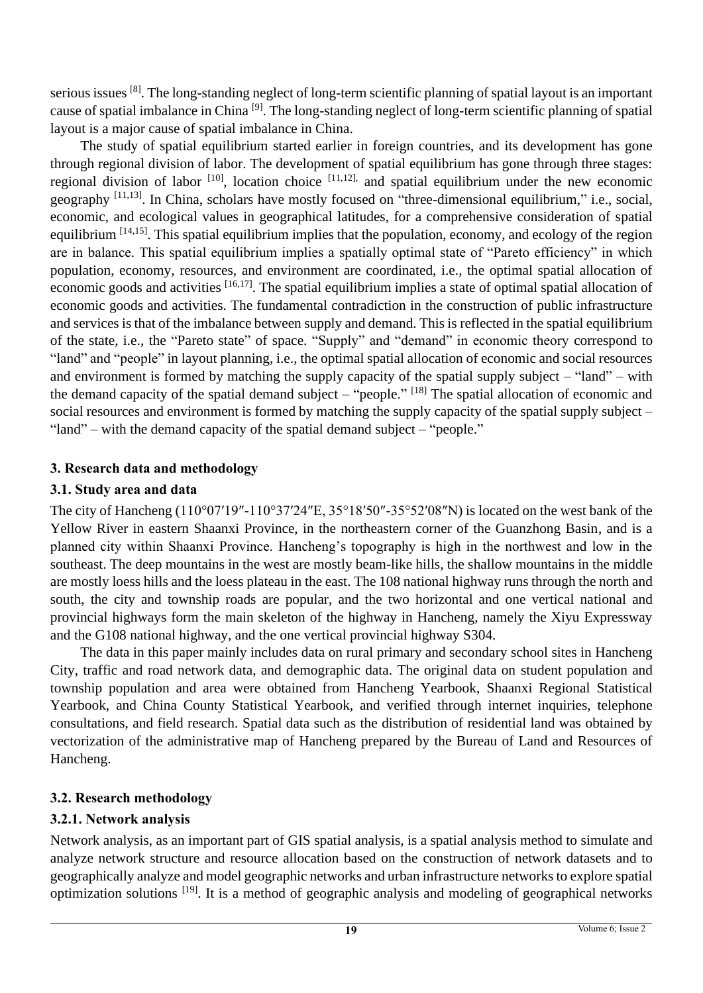serious issues <sup>[8]</sup>. The long-standing neglect of long-term scientific planning of spatial layout is an important cause of spatial imbalance in China <sup>[9]</sup>. The long-standing neglect of long-term scientific planning of spatial layout is a major cause of spatial imbalance in China.

The study of spatial equilibrium started earlier in foreign countries, and its development has gone through regional division of labor. The development of spatial equilibrium has gone through three stages: regional division of labor  $[10]$ , location choice  $[11,12]$ , and spatial equilibrium under the new economic geography [11,13]. In China, scholars have mostly focused on "three-dimensional equilibrium," i.e., social, economic, and ecological values in geographical latitudes, for a comprehensive consideration of spatial equilibrium <sup>[14,15]</sup>. This spatial equilibrium implies that the population, economy, and ecology of the region are in balance. This spatial equilibrium implies a spatially optimal state of "Pareto efficiency" in which population, economy, resources, and environment are coordinated, i.e., the optimal spatial allocation of economic goods and activities [16,17]. The spatial equilibrium implies a state of optimal spatial allocation of economic goods and activities. The fundamental contradiction in the construction of public infrastructure and services is that of the imbalance between supply and demand. This is reflected in the spatial equilibrium of the state, i.e., the "Pareto state" of space. "Supply" and "demand" in economic theory correspond to "land" and "people" in layout planning, i.e., the optimal spatial allocation of economic and social resources and environment is formed by matching the supply capacity of the spatial supply subject – "land" – with the demand capacity of the spatial demand subject – "people."  $[18]$  The spatial allocation of economic and social resources and environment is formed by matching the supply capacity of the spatial supply subject – "land" – with the demand capacity of the spatial demand subject – "people."

## **3. Research data and methodology**

#### **3.1. Study area and data**

The city of Hancheng (110°07′19″-110°37′24″E, 35°18′50″-35°52′08″N) is located on the west bank of the Yellow River in eastern Shaanxi Province, in the northeastern corner of the Guanzhong Basin, and is a planned city within Shaanxi Province. Hancheng's topography is high in the northwest and low in the southeast. The deep mountains in the west are mostly beam-like hills, the shallow mountains in the middle are mostly loess hills and the loess plateau in the east. The 108 national highway runs through the north and south, the city and township roads are popular, and the two horizontal and one vertical national and provincial highways form the main skeleton of the highway in Hancheng, namely the Xiyu Expressway and the G108 national highway, and the one vertical provincial highway S304.

The data in this paper mainly includes data on rural primary and secondary school sites in Hancheng City, traffic and road network data, and demographic data. The original data on student population and township population and area were obtained from Hancheng Yearbook, Shaanxi Regional Statistical Yearbook, and China County Statistical Yearbook, and verified through internet inquiries, telephone consultations, and field research. Spatial data such as the distribution of residential land was obtained by vectorization of the administrative map of Hancheng prepared by the Bureau of Land and Resources of Hancheng.

# **3.2. Research methodology**

# **3.2.1. Network analysis**

Network analysis, as an important part of GIS spatial analysis, is a spatial analysis method to simulate and analyze network structure and resource allocation based on the construction of network datasets and to geographically analyze and model geographic networks and urban infrastructure networks to explore spatial optimization solutions [19]. It is a method of geographic analysis and modeling of geographical networks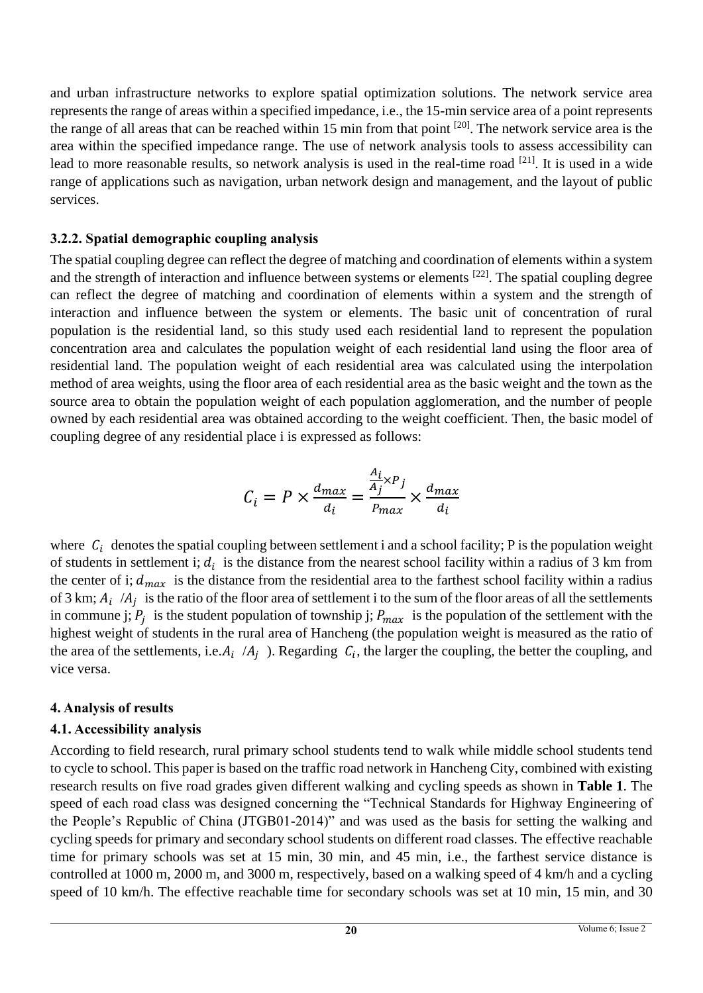and urban infrastructure networks to explore spatial optimization solutions. The network service area represents the range of areas within a specified impedance, i.e., the 15-min service area of a point represents the range of all areas that can be reached within 15 min from that point  $[20]$ . The network service area is the area within the specified impedance range. The use of network analysis tools to assess accessibility can lead to more reasonable results, so network analysis is used in the real-time road <sup>[21]</sup>. It is used in a wide range of applications such as navigation, urban network design and management, and the layout of public services.

### **3.2.2. Spatial demographic coupling analysis**

The spatial coupling degree can reflect the degree of matching and coordination of elements within a system and the strength of interaction and influence between systems or elements <sup>[22]</sup>. The spatial coupling degree can reflect the degree of matching and coordination of elements within a system and the strength of interaction and influence between the system or elements. The basic unit of concentration of rural population is the residential land, so this study used each residential land to represent the population concentration area and calculates the population weight of each residential land using the floor area of residential land. The population weight of each residential area was calculated using the interpolation method of area weights, using the floor area of each residential area as the basic weight and the town as the source area to obtain the population weight of each population agglomeration, and the number of people owned by each residential area was obtained according to the weight coefficient. Then, the basic model of coupling degree of any residential place i is expressed as follows:

$$
C_i = P \times \frac{d_{max}}{d_i} = \frac{\frac{A_i}{A_j} \times P_j}{P_{max}} \times \frac{d_{max}}{d_i}
$$

where  $C_i$  denotes the spatial coupling between settlement i and a school facility; P is the population weight of students in settlement i;  $d_i$  is the distance from the nearest school facility within a radius of 3 km from the center of i;  $d_{max}$  is the distance from the residential area to the farthest school facility within a radius of 3 km;  $A_i$  / $A_j$  is the ratio of the floor area of settlement i to the sum of the floor areas of all the settlements in commune j;  $P_j$  is the student population of township j;  $P_{max}$  is the population of the settlement with the highest weight of students in the rural area of Hancheng (the population weight is measured as the ratio of the area of the settlements, i.e.  $A_i$  / $A_j$ ). Regarding  $C_i$ , the larger the coupling, the better the coupling, and vice versa.

#### **4. Analysis of results**

# **4.1. Accessibility analysis**

According to field research, rural primary school students tend to walk while middle school students tend to cycle to school. This paper is based on the traffic road network in Hancheng City, combined with existing research results on five road grades given different walking and cycling speeds as shown in **Table 1**. The speed of each road class was designed concerning the "Technical Standards for Highway Engineering of the People's Republic of China (JTGB01-2014)" and was used as the basis for setting the walking and cycling speeds for primary and secondary school students on different road classes. The effective reachable time for primary schools was set at 15 min, 30 min, and 45 min, i.e., the farthest service distance is controlled at 1000 m, 2000 m, and 3000 m, respectively, based on a walking speed of 4 km/h and a cycling speed of 10 km/h. The effective reachable time for secondary schools was set at 10 min, 15 min, and 30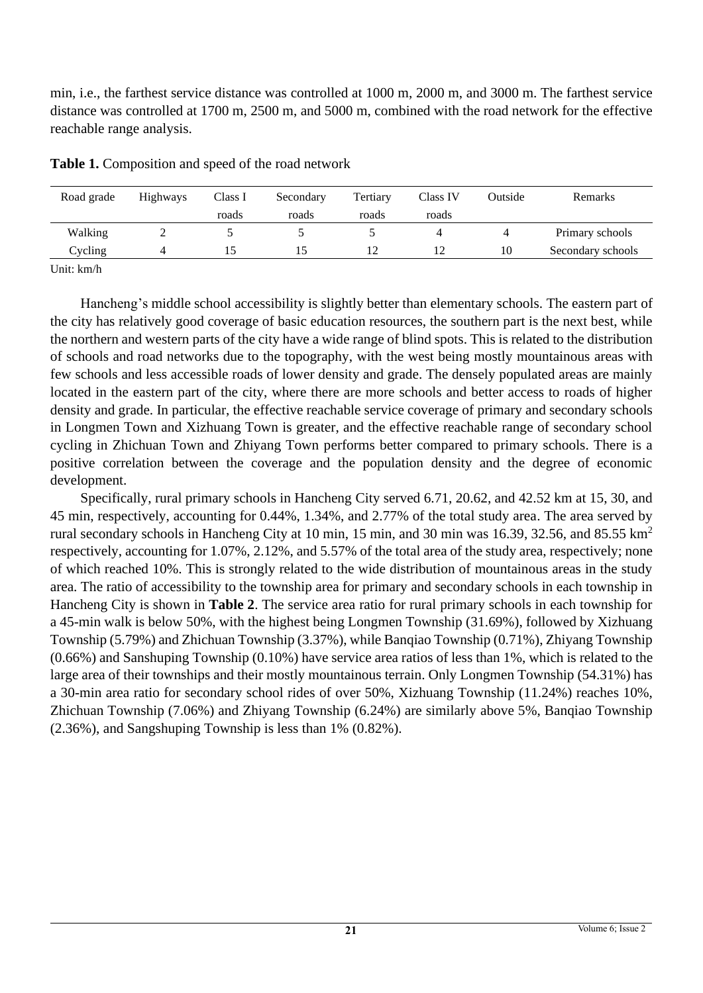min, i.e., the farthest service distance was controlled at 1000 m, 2000 m, and 3000 m. The farthest service distance was controlled at 1700 m, 2500 m, and 5000 m, combined with the road network for the effective reachable range analysis.

| Road grade | <b>Highways</b> | Class I<br>roads | Secondary<br>roads | Tertiary<br>roads | Class IV<br>roads | Outside | <b>Remarks</b>    |  |
|------------|-----------------|------------------|--------------------|-------------------|-------------------|---------|-------------------|--|
| Walking    |                 |                  |                    |                   |                   | 4       | Primary schools   |  |
| Cycling    |                 |                  |                    |                   | 12                | 10      | Secondary schools |  |

**Table 1.** Composition and speed of the road network

Unit: km/h

Hancheng's middle school accessibility is slightly better than elementary schools. The eastern part of the city has relatively good coverage of basic education resources, the southern part is the next best, while the northern and western parts of the city have a wide range of blind spots. This is related to the distribution of schools and road networks due to the topography, with the west being mostly mountainous areas with few schools and less accessible roads of lower density and grade. The densely populated areas are mainly located in the eastern part of the city, where there are more schools and better access to roads of higher density and grade. In particular, the effective reachable service coverage of primary and secondary schools in Longmen Town and Xizhuang Town is greater, and the effective reachable range of secondary school cycling in Zhichuan Town and Zhiyang Town performs better compared to primary schools. There is a positive correlation between the coverage and the population density and the degree of economic development.

Specifically, rural primary schools in Hancheng City served 6.71, 20.62, and 42.52 km at 15, 30, and 45 min, respectively, accounting for 0.44%, 1.34%, and 2.77% of the total study area. The area served by rural secondary schools in Hancheng City at 10 min, 15 min, and 30 min was 16.39, 32.56, and 85.55 km<sup>2</sup> respectively, accounting for 1.07%, 2.12%, and 5.57% of the total area of the study area, respectively; none of which reached 10%. This is strongly related to the wide distribution of mountainous areas in the study area. The ratio of accessibility to the township area for primary and secondary schools in each township in Hancheng City is shown in **Table 2**. The service area ratio for rural primary schools in each township for a 45-min walk is below 50%, with the highest being Longmen Township (31.69%), followed by Xizhuang Township (5.79%) and Zhichuan Township (3.37%), while Banqiao Township (0.71%), Zhiyang Township (0.66%) and Sanshuping Township (0.10%) have service area ratios of less than 1%, which is related to the large area of their townships and their mostly mountainous terrain. Only Longmen Township (54.31%) has a 30-min area ratio for secondary school rides of over 50%, Xizhuang Township (11.24%) reaches 10%, Zhichuan Township (7.06%) and Zhiyang Township (6.24%) are similarly above 5%, Banqiao Township (2.36%), and Sangshuping Township is less than 1% (0.82%).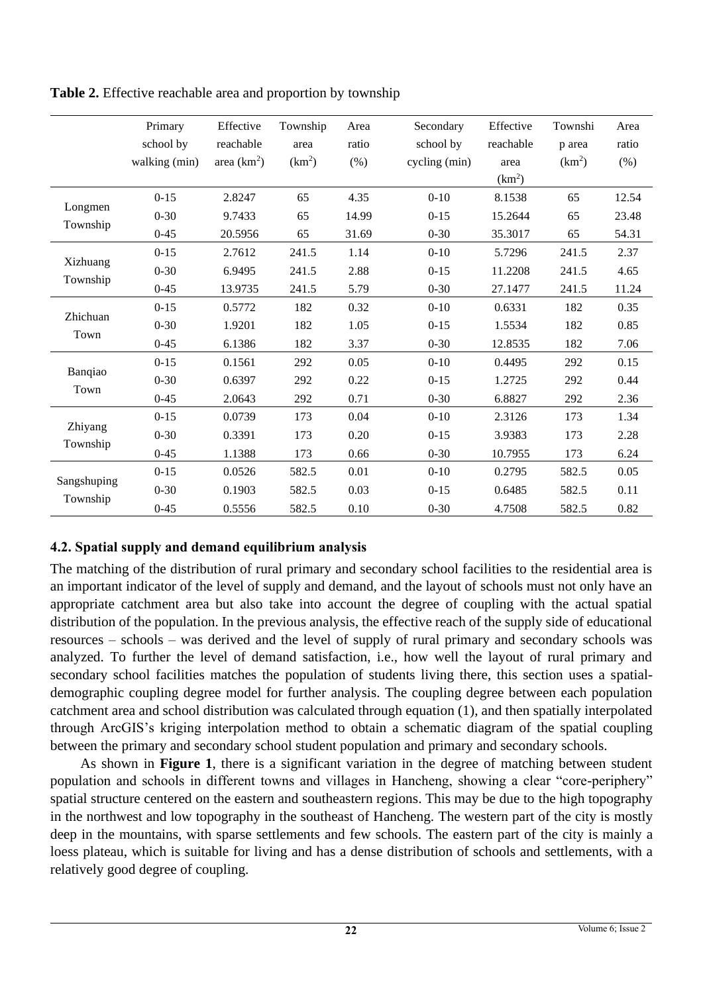|                         | Primary       | Effective    | Township           | Area  | Secondary     | Effective          | Townshi            | Area  |
|-------------------------|---------------|--------------|--------------------|-------|---------------|--------------------|--------------------|-------|
|                         | school by     | reachable    | area               | ratio | school by     | reachable          | p area             | ratio |
|                         | walking (min) | area $(km2)$ | (km <sup>2</sup> ) | (% )  | cycling (min) | area               | (km <sup>2</sup> ) | (%)   |
|                         |               |              |                    |       |               | (km <sup>2</sup> ) |                    |       |
| Longmen<br>Township     | $0 - 15$      | 2.8247       | 65                 | 4.35  | $0 - 10$      | 8.1538             | 65                 | 12.54 |
|                         | $0 - 30$      | 9.7433       | 65                 | 14.99 | $0 - 15$      | 15.2644            | 65                 | 23.48 |
|                         | $0 - 45$      | 20.5956      | 65                 | 31.69 | $0 - 30$      | 35.3017            | 65                 | 54.31 |
| Xizhuang<br>Township    | $0 - 15$      | 2.7612       | 241.5              | 1.14  | $0 - 10$      | 5.7296             | 241.5              | 2.37  |
|                         | $0 - 30$      | 6.9495       | 241.5              | 2.88  | $0 - 15$      | 11.2208            | 241.5              | 4.65  |
|                         | $0 - 45$      | 13.9735      | 241.5              | 5.79  | $0 - 30$      | 27.1477            | 241.5              | 11.24 |
| Zhichuan<br>Town        | $0 - 15$      | 0.5772       | 182                | 0.32  | $0 - 10$      | 0.6331             | 182                | 0.35  |
|                         | $0 - 30$      | 1.9201       | 182                | 1.05  | $0 - 15$      | 1.5534             | 182                | 0.85  |
|                         | $0 - 45$      | 6.1386       | 182                | 3.37  | $0 - 30$      | 12.8535            | 182                | 7.06  |
| Banqiao<br>Town         | $0 - 15$      | 0.1561       | 292                | 0.05  | $0 - 10$      | 0.4495             | 292                | 0.15  |
|                         | $0 - 30$      | 0.6397       | 292                | 0.22  | $0 - 15$      | 1.2725             | 292                | 0.44  |
|                         | $0 - 45$      | 2.0643       | 292                | 0.71  | $0 - 30$      | 6.8827             | 292                | 2.36  |
| Zhiyang<br>Township     | $0 - 15$      | 0.0739       | 173                | 0.04  | $0 - 10$      | 2.3126             | 173                | 1.34  |
|                         | $0 - 30$      | 0.3391       | 173                | 0.20  | $0 - 15$      | 3.9383             | 173                | 2.28  |
|                         | $0 - 45$      | 1.1388       | 173                | 0.66  | $0 - 30$      | 10.7955            | 173                | 6.24  |
| Sangshuping<br>Township | $0 - 15$      | 0.0526       | 582.5              | 0.01  | $0 - 10$      | 0.2795             | 582.5              | 0.05  |
|                         | $0 - 30$      | 0.1903       | 582.5              | 0.03  | $0 - 15$      | 0.6485             | 582.5              | 0.11  |
|                         | $0 - 45$      | 0.5556       | 582.5              | 0.10  | $0 - 30$      | 4.7508             | 582.5              | 0.82  |

**Table 2.** Effective reachable area and proportion by township

# **4.2. Spatial supply and demand equilibrium analysis**

The matching of the distribution of rural primary and secondary school facilities to the residential area is an important indicator of the level of supply and demand, and the layout of schools must not only have an appropriate catchment area but also take into account the degree of coupling with the actual spatial distribution of the population. In the previous analysis, the effective reach of the supply side of educational resources – schools – was derived and the level of supply of rural primary and secondary schools was analyzed. To further the level of demand satisfaction, i.e., how well the layout of rural primary and secondary school facilities matches the population of students living there, this section uses a spatialdemographic coupling degree model for further analysis. The coupling degree between each population catchment area and school distribution was calculated through equation (1), and then spatially interpolated through ArcGIS's kriging interpolation method to obtain a schematic diagram of the spatial coupling between the primary and secondary school student population and primary and secondary schools.

As shown in **Figure 1**, there is a significant variation in the degree of matching between student population and schools in different towns and villages in Hancheng, showing a clear "core-periphery" spatial structure centered on the eastern and southeastern regions. This may be due to the high topography in the northwest and low topography in the southeast of Hancheng. The western part of the city is mostly deep in the mountains, with sparse settlements and few schools. The eastern part of the city is mainly a loess plateau, which is suitable for living and has a dense distribution of schools and settlements, with a relatively good degree of coupling.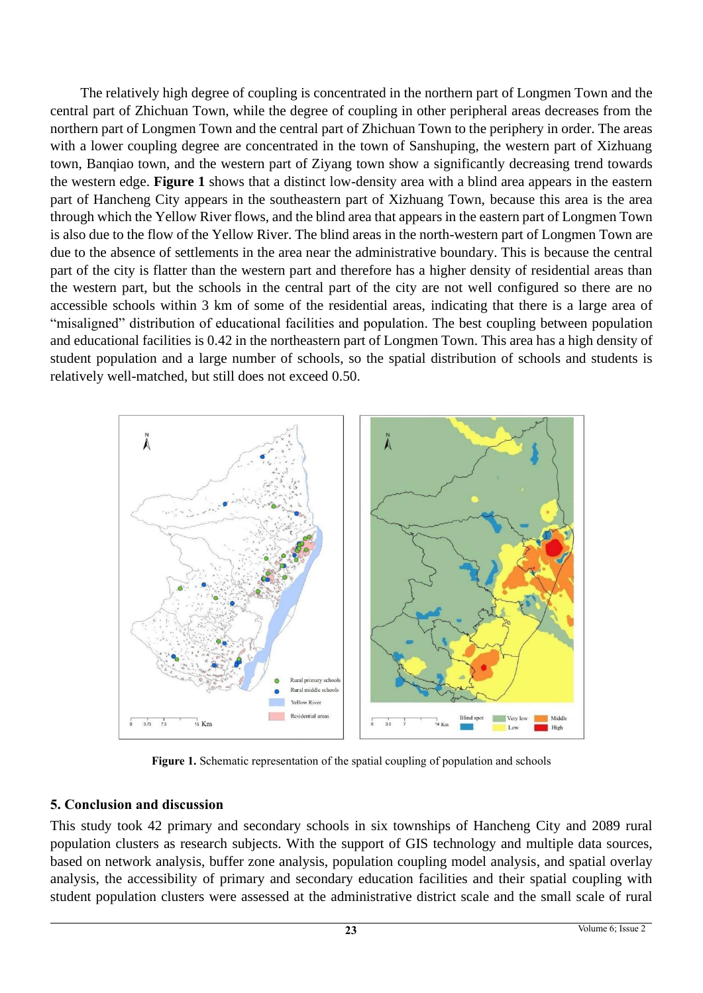The relatively high degree of coupling is concentrated in the northern part of Longmen Town and the central part of Zhichuan Town, while the degree of coupling in other peripheral areas decreases from the northern part of Longmen Town and the central part of Zhichuan Town to the periphery in order. The areas with a lower coupling degree are concentrated in the town of Sanshuping, the western part of Xizhuang town, Banqiao town, and the western part of Ziyang town show a significantly decreasing trend towards the western edge. **Figure 1** shows that a distinct low-density area with a blind area appears in the eastern part of Hancheng City appears in the southeastern part of Xizhuang Town, because this area is the area through which the Yellow River flows, and the blind area that appears in the eastern part of Longmen Town is also due to the flow of the Yellow River. The blind areas in the north-western part of Longmen Town are due to the absence of settlements in the area near the administrative boundary. This is because the central part of the city is flatter than the western part and therefore has a higher density of residential areas than the western part, but the schools in the central part of the city are not well configured so there are no accessible schools within 3 km of some of the residential areas, indicating that there is a large area of "misaligned" distribution of educational facilities and population. The best coupling between population and educational facilities is 0.42 in the northeastern part of Longmen Town. This area has a high density of student population and a large number of schools, so the spatial distribution of schools and students is relatively well-matched, but still does not exceed 0.50.



Figure 1. Schematic representation of the spatial coupling of population and schools

#### **5. Conclusion and discussion**

This study took 42 primary and secondary schools in six townships of Hancheng City and 2089 rural population clusters as research subjects. With the support of GIS technology and multiple data sources, based on network analysis, buffer zone analysis, population coupling model analysis, and spatial overlay analysis, the accessibility of primary and secondary education facilities and their spatial coupling with student population clusters were assessed at the administrative district scale and the small scale of rural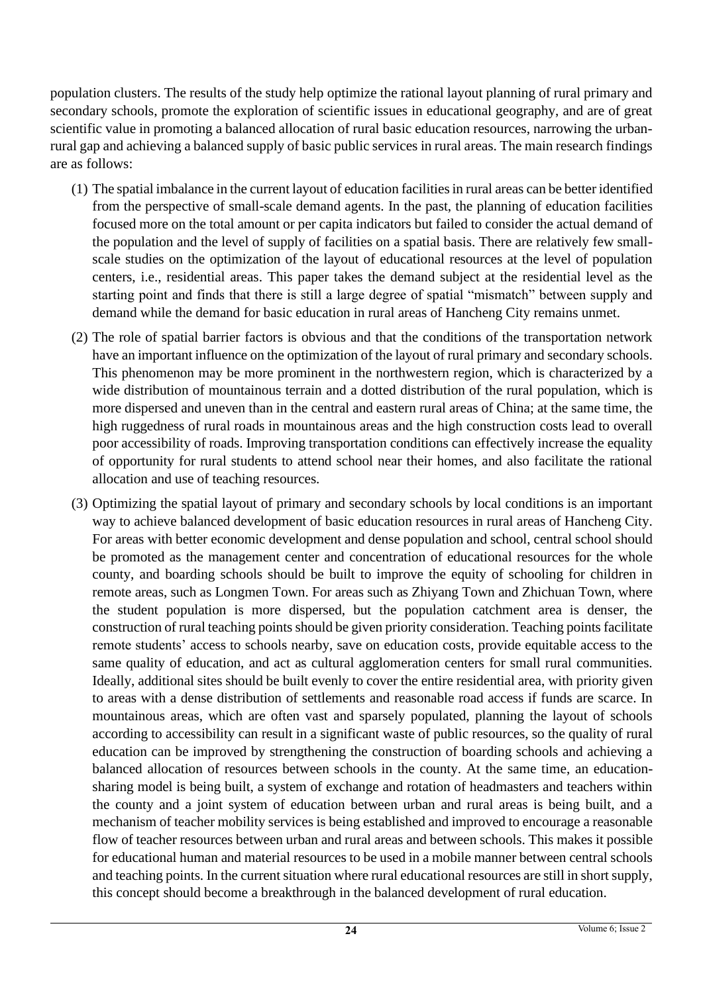population clusters. The results of the study help optimize the rational layout planning of rural primary and secondary schools, promote the exploration of scientific issues in educational geography, and are of great scientific value in promoting a balanced allocation of rural basic education resources, narrowing the urbanrural gap and achieving a balanced supply of basic public services in rural areas. The main research findings are as follows:

- (1) The spatial imbalance in the current layout of education facilities in rural areas can be better identified from the perspective of small-scale demand agents. In the past, the planning of education facilities focused more on the total amount or per capita indicators but failed to consider the actual demand of the population and the level of supply of facilities on a spatial basis. There are relatively few smallscale studies on the optimization of the layout of educational resources at the level of population centers, i.e., residential areas. This paper takes the demand subject at the residential level as the starting point and finds that there is still a large degree of spatial "mismatch" between supply and demand while the demand for basic education in rural areas of Hancheng City remains unmet.
- (2) The role of spatial barrier factors is obvious and that the conditions of the transportation network have an important influence on the optimization of the layout of rural primary and secondary schools. This phenomenon may be more prominent in the northwestern region, which is characterized by a wide distribution of mountainous terrain and a dotted distribution of the rural population, which is more dispersed and uneven than in the central and eastern rural areas of China; at the same time, the high ruggedness of rural roads in mountainous areas and the high construction costs lead to overall poor accessibility of roads. Improving transportation conditions can effectively increase the equality of opportunity for rural students to attend school near their homes, and also facilitate the rational allocation and use of teaching resources.
- (3) Optimizing the spatial layout of primary and secondary schools by local conditions is an important way to achieve balanced development of basic education resources in rural areas of Hancheng City. For areas with better economic development and dense population and school, central school should be promoted as the management center and concentration of educational resources for the whole county, and boarding schools should be built to improve the equity of schooling for children in remote areas, such as Longmen Town. For areas such as Zhiyang Town and Zhichuan Town, where the student population is more dispersed, but the population catchment area is denser, the construction of rural teaching points should be given priority consideration. Teaching points facilitate remote students' access to schools nearby, save on education costs, provide equitable access to the same quality of education, and act as cultural agglomeration centers for small rural communities. Ideally, additional sites should be built evenly to cover the entire residential area, with priority given to areas with a dense distribution of settlements and reasonable road access if funds are scarce. In mountainous areas, which are often vast and sparsely populated, planning the layout of schools according to accessibility can result in a significant waste of public resources, so the quality of rural education can be improved by strengthening the construction of boarding schools and achieving a balanced allocation of resources between schools in the county. At the same time, an educationsharing model is being built, a system of exchange and rotation of headmasters and teachers within the county and a joint system of education between urban and rural areas is being built, and a mechanism of teacher mobility services is being established and improved to encourage a reasonable flow of teacher resources between urban and rural areas and between schools. This makes it possible for educational human and material resources to be used in a mobile manner between central schools and teaching points. In the current situation where rural educational resources are still in short supply, this concept should become a breakthrough in the balanced development of rural education.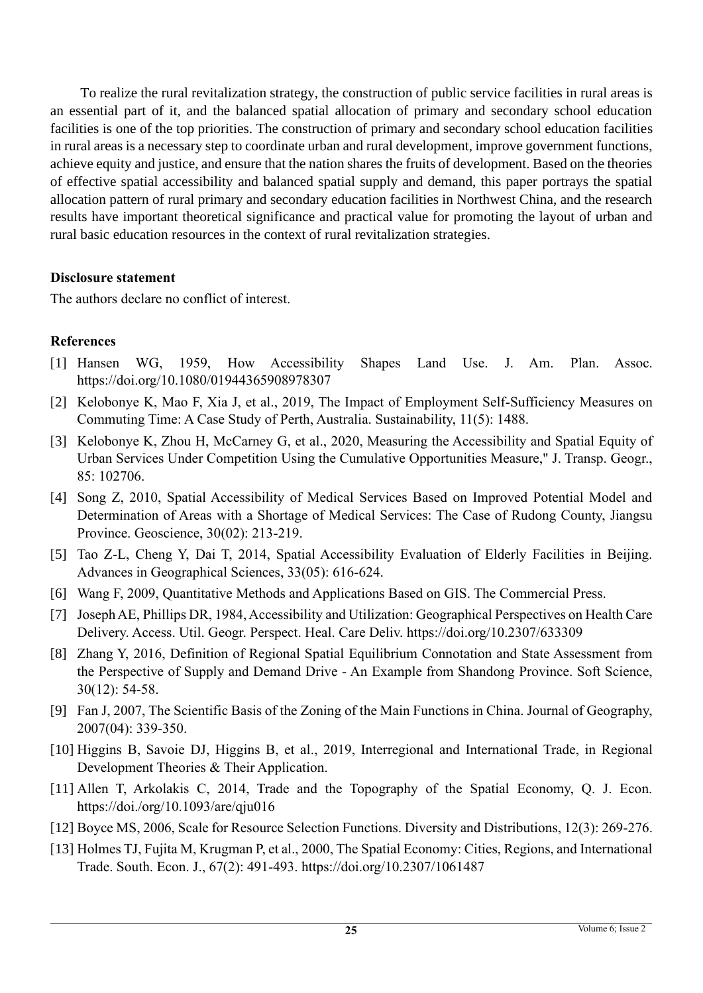To realize the rural revitalization strategy, the construction of public service facilities in rural areas is an essential part of it, and the balanced spatial allocation of primary and secondary school education facilities is one of the top priorities. The construction of primary and secondary school education facilities in rural areas is a necessary step to coordinate urban and rural development, improve government functions, achieve equity and justice, and ensure that the nation shares the fruits of development. Based on the theories of effective spatial accessibility and balanced spatial supply and demand, this paper portrays the spatial allocation pattern of rural primary and secondary education facilities in Northwest China, and the research results have important theoretical significance and practical value for promoting the layout of urban and rural basic education resources in the context of rural revitalization strategies.

#### **Disclosure statement**

The authors declare no conflict of interest.

#### **References**

- [1] Hansen WG, 1959, How Accessibility Shapes Land Use. J. Am. Plan. Assoc. https://doi.org/10.1080/01944365908978307
- [2] Kelobonye K, Mao F, Xia J, et al., 2019, The Impact of Employment Self-Sufficiency Measures on Commuting Time: A Case Study of Perth, Australia. Sustainability, 11(5): 1488.
- [3] Kelobonye K, Zhou H, McCarney G, et al., 2020, Measuring the Accessibility and Spatial Equity of Urban Services Under Competition Using the Cumulative Opportunities Measure," J. Transp. Geogr., 85: 102706.
- [4] Song Z, 2010, Spatial Accessibility of Medical Services Based on Improved Potential Model and Determination of Areas with a Shortage of Medical Services: The Case of Rudong County, Jiangsu Province. Geoscience, 30(02): 213-219.
- [5] Tao Z-L, Cheng Y, Dai T, 2014, Spatial Accessibility Evaluation of Elderly Facilities in Beijing. Advances in Geographical Sciences, 33(05): 616-624.
- [6] Wang F, 2009, Quantitative Methods and Applications Based on GIS. The Commercial Press.
- [7] Joseph AE, Phillips DR, 1984, Accessibility and Utilization: Geographical Perspectives on Health Care Delivery. Access. Util. Geogr. Perspect. Heal. Care Deliv. https://doi.org/10.2307/633309
- [8] Zhang Y, 2016, Definition of Regional Spatial Equilibrium Connotation and State Assessment from the Perspective of Supply and Demand Drive - An Example from Shandong Province. Soft Science, 30(12): 54-58.
- [9] Fan J, 2007, The Scientific Basis of the Zoning of the Main Functions in China. Journal of Geography, 2007(04): 339-350.
- [10] Higgins B, Savoie DJ, Higgins B, et al., 2019, Interregional and International Trade, in Regional Development Theories & Their Application.
- [11] Allen T, Arkolakis C, 2014, Trade and the Topography of the Spatial Economy, Q. J. Econ. https://doi./org/10.1093/are/qju016
- [12] Boyce MS, 2006, Scale for Resource Selection Functions. Diversity and Distributions, 12(3): 269-276.
- [13] Holmes TJ, Fujita M, Krugman P, et al., 2000, The Spatial Economy: Cities, Regions, and International Trade. South. Econ. J., 67(2): 491-493. https://doi.org/10.2307/1061487